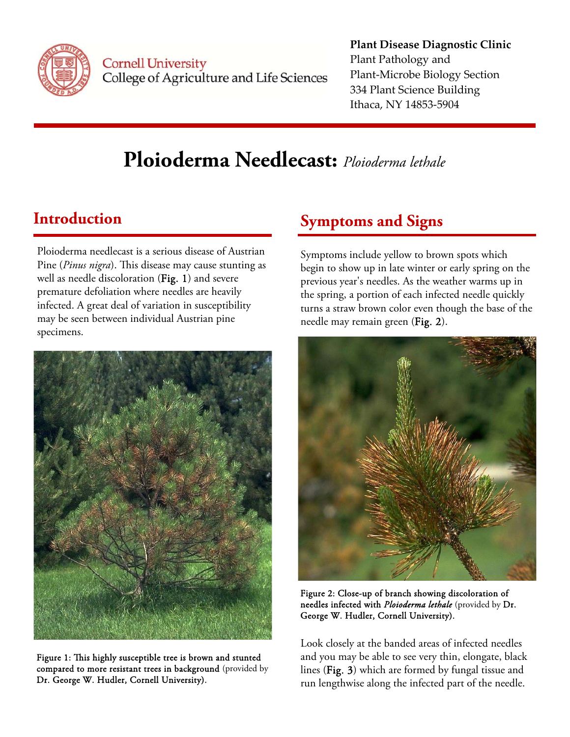

**Cornell University** College of Agriculture and Life Sciences

#### **Plant Disease Diagnostic Clinic** Plant Pathology and Plant‐Microbe Biology Section 334 Plant Science Building Ithaca, NY 14853‐5904

# **Ploioderma Needlecast:** *Ploioderma lethale*

## **Introduction**

Ploioderma needlecast is a serious disease of Austrian Pine (*Pinus nigra*). This disease may cause stunting as well as needle discoloration (Fig. 1) and severe premature defoliation where needles are heavily infected. A great deal of variation in susceptibility may be seen between individual Austrian pine specimens.



Figure 1: This highly susceptible tree is brown and stunted compared to more resistant trees in background(provided by Dr. George W. Hudler, Cornell University).

## **Symptoms and Signs**

Symptoms include yellow to brown spots which begin to show up in late winter or early spring on the previous year's needles. As the weather warms up in the spring, a portion of each infected needle quickly turns a straw brown color even though the base of the needle may remain green (Fig. 2).



Figure 2: Close-up of branch showing discoloration of needles infected with *Ploioderma lethale* (provided by Dr. George W. Hudler, Cornell University).

Look closely at the banded areas of infected needles and you may be able to see very thin, elongate, black lines (Fig. 3) which are formed by fungal tissue and run lengthwise along the infected part of the needle.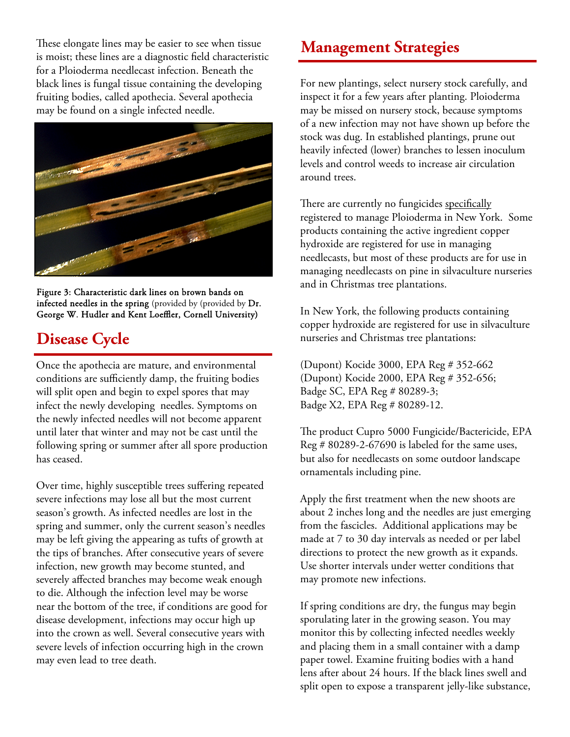These elongate lines may be easier to see when tissue **Management Strategies** is moist; these lines are a diagnostic field characteristic for a Ploioderma needlecast infection. Beneath the black lines is fungal tissue containing the developing fruiting bodies, called apothecia. Several apothecia may be found on a single infected needle.



Figure 3: Characteristic dark lines on brown bands on infected needles in the spring (provided by (provided by Dr. George W. Hudler and Kent Loeffler, Cornell University)

## **Disease Cycle**

Once the apothecia are mature, and environmental conditions are sufficiently damp, the fruiting bodies will split open and begin to expel spores that may infect the newly developing needles. Symptoms on the newly infected needles will not become apparent until later that winter and may not be cast until the following spring or summer after all spore production has ceased.

Over time, highly susceptible trees suffering repeated severe infections may lose all but the most current season's growth. As infected needles are lost in the spring and summer, only the current season's needles may be left giving the appearing as tufts of growth at the tips of branches. After consecutive years of severe infection, new growth may become stunted, and severely affected branches may become weak enough to die. Although the infection level may be worse near the bottom of the tree, if conditions are good for disease development, infections may occur high up into the crown as well. Several consecutive years with severe levels of infection occurring high in the crown may even lead to tree death.

For new plantings, select nursery stock carefully, and inspect it for a few years after planting. Ploioderma may be missed on nursery stock, because symptoms of a new infection may not have shown up before the stock was dug. In established plantings, prune out heavily infected (lower) branches to lessen inoculum levels and control weeds to increase air circulation around trees.

There are currently no fungicides specifically registered to manage Ploioderma in New York. Some products containing the active ingredient copper hydroxide are registered for use in managing needlecasts, but most of these products are for use in managing needlecasts on pine in silvaculture nurseries and in Christmas tree plantations.

In New York, the following products containing copper hydroxide are registered for use in silvaculture nurseries and Christmas tree plantations:

(Dupont) Kocide 3000, EPA Reg # 352-662 (Dupont) Kocide 2000, EPA Reg # 352-656; Badge SC, EPA Reg # 80289-3; Badge X2, EPA Reg # 80289-12.

The product Cupro 5000 Fungicide/Bactericide, EPA Reg # 80289-2-67690 is labeled for the same uses, but also for needlecasts on some outdoor landscape ornamentals including pine.

Apply the first treatment when the new shoots are about 2 inches long and the needles are just emerging from the fascicles. Additional applications may be made at 7 to 30 day intervals as needed or per label directions to protect the new growth as it expands. Use shorter intervals under wetter conditions that may promote new infections.

If spring conditions are dry, the fungus may begin sporulating later in the growing season. You may monitor this by collecting infected needles weekly and placing them in a small container with a damp paper towel. Examine fruiting bodies with a hand lens after about 24 hours. If the black lines swell and split open to expose a transparent jelly-like substance,